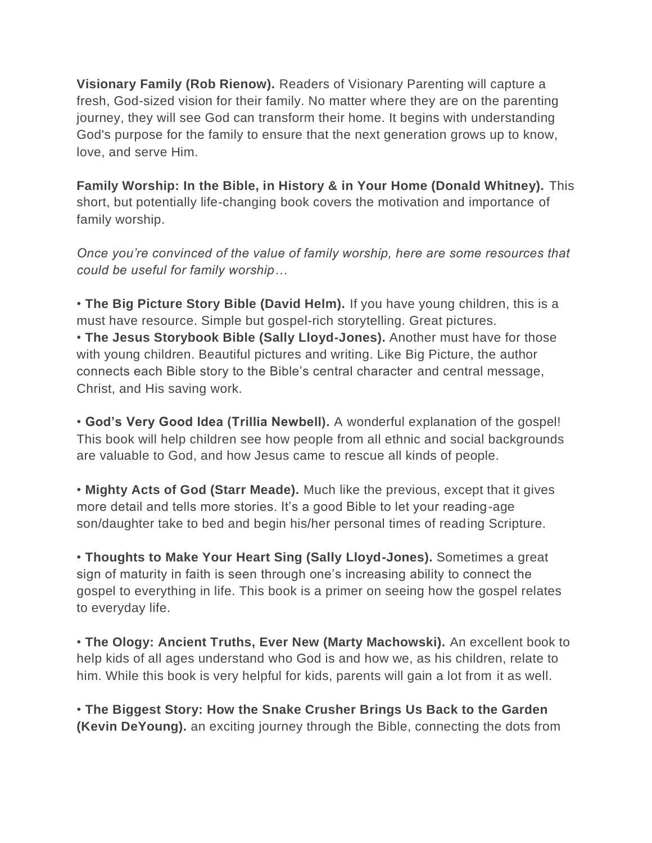**Visionary Family (Rob Rienow).** Readers of Visionary Parenting will capture a fresh, God-sized vision for their family. No matter where they are on the parenting journey, they will see God can transform their home. It begins with understanding God's purpose for the family to ensure that the next generation grows up to know, love, and serve Him.

**Family Worship: In the Bible, in History & in Your Home (Donald Whitney).** This short, but potentially life-changing book covers the motivation and importance of family worship.

*Once you're convinced of the value of family worship, here are some resources that could be useful for family worship…*

• **The Big Picture Story Bible (David Helm).** If you have young children, this is a must have resource. Simple but gospel-rich storytelling. Great pictures. • **The Jesus Storybook Bible (Sally Lloyd-Jones).** Another must have for those with young children. Beautiful pictures and writing. Like Big Picture, the author connects each Bible story to the Bible's central character and central message, Christ, and His saving work.

• **God's Very Good Idea (Trillia Newbell).** A wonderful explanation of the gospel! This book will help children see how people from all ethnic and social backgrounds are valuable to God, and how Jesus came to rescue all kinds of people.

• **Mighty Acts of God (Starr Meade).** Much like the previous, except that it gives more detail and tells more stories. It's a good Bible to let your reading-age son/daughter take to bed and begin his/her personal times of reading Scripture.

• **Thoughts to Make Your Heart Sing (Sally Lloyd-Jones).** Sometimes a great sign of maturity in faith is seen through one's increasing ability to connect the gospel to everything in life. This book is a primer on seeing how the gospel relates to everyday life.

• **The Ology: Ancient Truths, Ever New (Marty Machowski).** An excellent book to help kids of all ages understand who God is and how we, as his children, relate to him. While this book is very helpful for kids, parents will gain a lot from it as well.

• **The Biggest Story: How the Snake Crusher Brings Us Back to the Garden (Kevin DeYoung).** an exciting journey through the Bible, connecting the dots from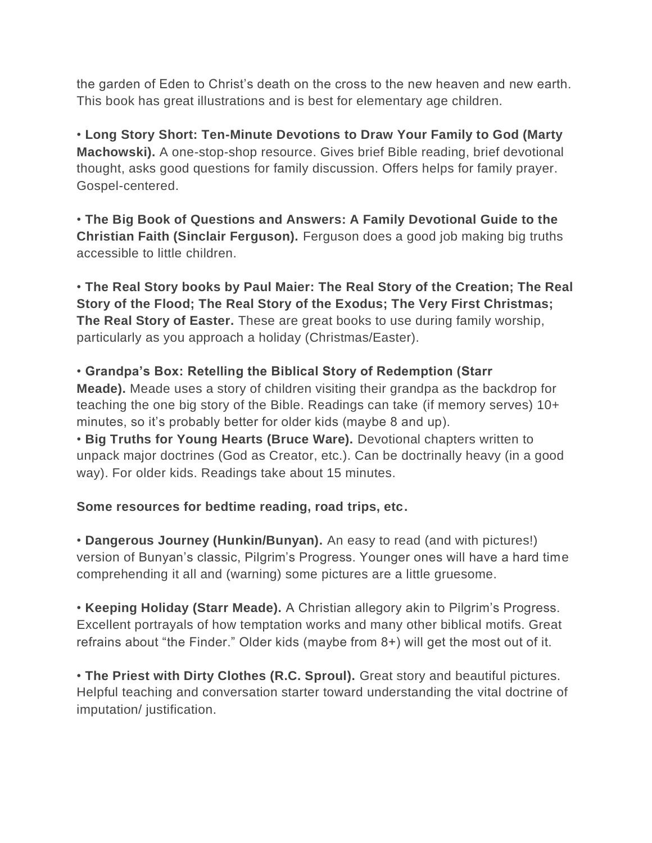the garden of Eden to Christ's death on the cross to the new heaven and new earth. This book has great illustrations and is best for elementary age children.

• **Long Story Short: Ten-Minute Devotions to Draw Your Family to God (Marty Machowski).** A one-stop-shop resource. Gives brief Bible reading, brief devotional thought, asks good questions for family discussion. Offers helps for family prayer. Gospel-centered.

• **The Big Book of Questions and Answers: A Family Devotional Guide to the Christian Faith (Sinclair Ferguson).** Ferguson does a good job making big truths accessible to little children.

• **The Real Story books by Paul Maier: The Real Story of the Creation; The Real Story of the Flood; The Real Story of the Exodus; The Very First Christmas; The Real Story of Easter.** These are great books to use during family worship, particularly as you approach a holiday (Christmas/Easter).

## • **Grandpa's Box: Retelling the Biblical Story of Redemption (Starr**

**Meade).** Meade uses a story of children visiting their grandpa as the backdrop for teaching the one big story of the Bible. Readings can take (if memory serves) 10+ minutes, so it's probably better for older kids (maybe 8 and up).

• **Big Truths for Young Hearts (Bruce Ware).** Devotional chapters written to unpack major doctrines (God as Creator, etc.). Can be doctrinally heavy (in a good way). For older kids. Readings take about 15 minutes.

## **Some resources for bedtime reading, road trips, etc.**

• **Dangerous Journey (Hunkin/Bunyan).** An easy to read (and with pictures!) version of Bunyan's classic, Pilgrim's Progress. Younger ones will have a hard time comprehending it all and (warning) some pictures are a little gruesome.

• **Keeping Holiday (Starr Meade).** A Christian allegory akin to Pilgrim's Progress. Excellent portrayals of how temptation works and many other biblical motifs. Great refrains about "the Finder." Older kids (maybe from 8+) will get the most out of it.

• **The Priest with Dirty Clothes (R.C. Sproul).** Great story and beautiful pictures. Helpful teaching and conversation starter toward understanding the vital doctrine of imputation/ justification.